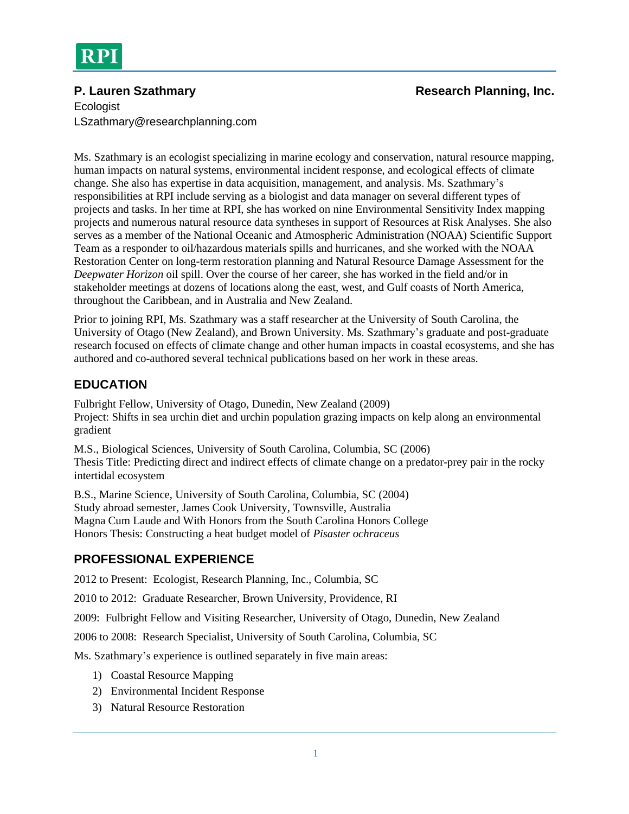#### **P. Lauren Szathmary Research Planning, Inc. Research Planning, Inc. Research Planning**, Inc.

**Ecologist** LSzathmary@researchplanning.com

Ms. Szathmary is an ecologist specializing in marine ecology and conservation, natural resource mapping, human impacts on natural systems, environmental incident response, and ecological effects of climate change. She also has expertise in data acquisition, management, and analysis. Ms. Szathmary's responsibilities at RPI include serving as a biologist and data manager on several different types of projects and tasks. In her time at RPI, she has worked on nine Environmental Sensitivity Index mapping projects and numerous natural resource data syntheses in support of Resources at Risk Analyses. She also serves as a member of the National Oceanic and Atmospheric Administration (NOAA) Scientific Support Team as a responder to oil/hazardous materials spills and hurricanes, and she worked with the NOAA Restoration Center on long-term restoration planning and Natural Resource Damage Assessment for the *Deepwater Horizon* oil spill. Over the course of her career, she has worked in the field and/or in stakeholder meetings at dozens of locations along the east, west, and Gulf coasts of North America, throughout the Caribbean, and in Australia and New Zealand.

Prior to joining RPI, Ms. Szathmary was a staff researcher at the University of South Carolina, the University of Otago (New Zealand), and Brown University. Ms. Szathmary's graduate and post-graduate research focused on effects of climate change and other human impacts in coastal ecosystems, and she has authored and co-authored several technical publications based on her work in these areas.

# **EDUCATION**

Fulbright Fellow, University of Otago, Dunedin, New Zealand (2009) Project: Shifts in sea urchin diet and urchin population grazing impacts on kelp along an environmental gradient

M.S., Biological Sciences, University of South Carolina, Columbia, SC (2006) Thesis Title: Predicting direct and indirect effects of climate change on a predator-prey pair in the rocky intertidal ecosystem

B.S., Marine Science, University of South Carolina, Columbia, SC (2004) Study abroad semester, James Cook University, Townsville, Australia Magna Cum Laude and With Honors from the South Carolina Honors College Honors Thesis: Constructing a heat budget model of *Pisaster ochraceus*

## **PROFESSIONAL EXPERIENCE**

2012 to Present: Ecologist, Research Planning, Inc., Columbia, SC

2010 to 2012: Graduate Researcher, Brown University, Providence, RI

2009: Fulbright Fellow and Visiting Researcher, University of Otago, Dunedin, New Zealand

2006 to 2008: Research Specialist, University of South Carolina, Columbia, SC

Ms. Szathmary's experience is outlined separately in five main areas:

- 1) Coastal Resource Mapping
- 2) Environmental Incident Response
- 3) Natural Resource Restoration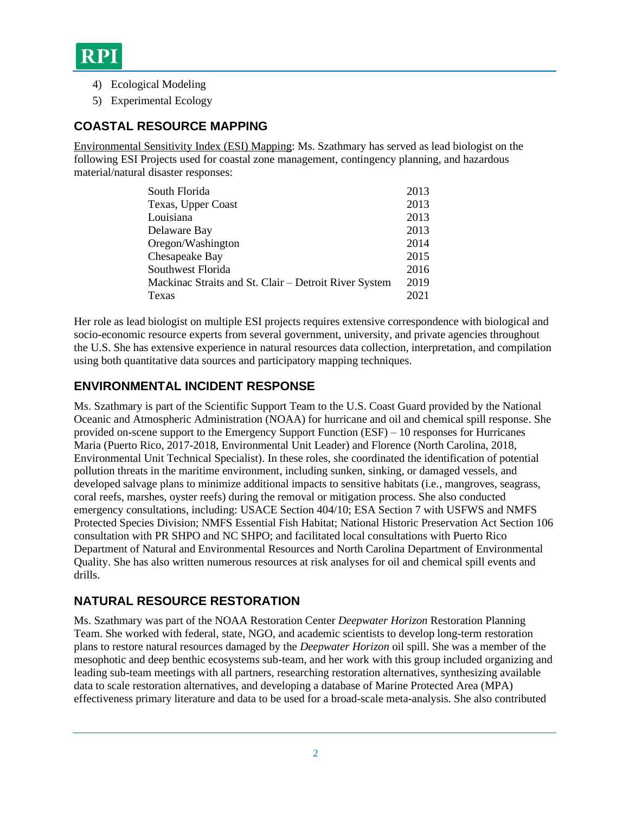- 4) Ecological Modeling
- 5) Experimental Ecology

#### **COASTAL RESOURCE MAPPING**

Environmental Sensitivity Index (ESI) Mapping: Ms. Szathmary has served as lead biologist on the following ESI Projects used for coastal zone management, contingency planning, and hazardous material/natural disaster responses:

| South Florida                                         | 2013 |
|-------------------------------------------------------|------|
| Texas, Upper Coast                                    | 2013 |
| Louisiana                                             | 2013 |
| Delaware Bay                                          | 2013 |
| Oregon/Washington                                     | 2014 |
| Chesapeake Bay                                        | 2015 |
| Southwest Florida                                     | 2016 |
| Mackinac Straits and St. Clair – Detroit River System | 2019 |
| Texas                                                 | 2021 |

Her role as lead biologist on multiple ESI projects requires extensive correspondence with biological and socio-economic resource experts from several government, university, and private agencies throughout the U.S. She has extensive experience in natural resources data collection, interpretation, and compilation using both quantitative data sources and participatory mapping techniques.

#### **ENVIRONMENTAL INCIDENT RESPONSE**

Ms. Szathmary is part of the Scientific Support Team to the U.S. Coast Guard provided by the National Oceanic and Atmospheric Administration (NOAA) for hurricane and oil and chemical spill response. She provided on-scene support to the Emergency Support Function (ESF) – 10 responses for Hurricanes Maria (Puerto Rico, 2017-2018, Environmental Unit Leader) and Florence (North Carolina, 2018, Environmental Unit Technical Specialist). In these roles, she coordinated the identification of potential pollution threats in the maritime environment, including sunken, sinking, or damaged vessels, and developed salvage plans to minimize additional impacts to sensitive habitats (i.e., mangroves, seagrass, coral reefs, marshes, oyster reefs) during the removal or mitigation process. She also conducted emergency consultations, including: USACE Section 404/10; ESA Section 7 with USFWS and NMFS Protected Species Division; NMFS Essential Fish Habitat; National Historic Preservation Act Section 106 consultation with PR SHPO and NC SHPO; and facilitated local consultations with Puerto Rico Department of Natural and Environmental Resources and North Carolina Department of Environmental Quality. She has also written numerous resources at risk analyses for oil and chemical spill events and drills.

## **NATURAL RESOURCE RESTORATION**

Ms. Szathmary was part of the NOAA Restoration Center *Deepwater Horizon* Restoration Planning Team. She worked with federal, state, NGO, and academic scientists to develop long-term restoration plans to restore natural resources damaged by the *Deepwater Horizon* oil spill. She was a member of the mesophotic and deep benthic ecosystems sub-team, and her work with this group included organizing and leading sub-team meetings with all partners, researching restoration alternatives, synthesizing available data to scale restoration alternatives, and developing a database of Marine Protected Area (MPA) effectiveness primary literature and data to be used for a broad-scale meta-analysis. She also contributed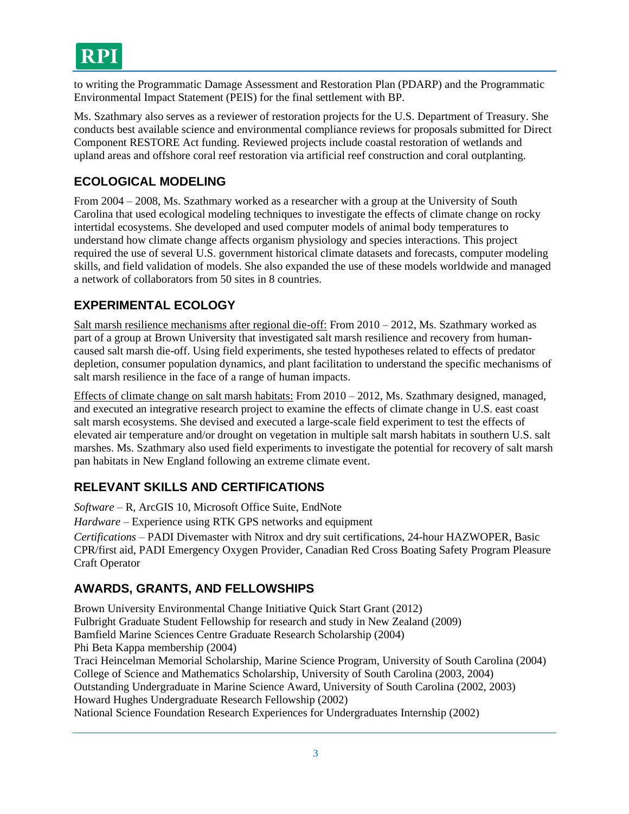to writing the Programmatic Damage Assessment and Restoration Plan (PDARP) and the Programmatic Environmental Impact Statement (PEIS) for the final settlement with BP.

Ms. Szathmary also serves as a reviewer of restoration projects for the U.S. Department of Treasury. She conducts best available science and environmental compliance reviews for proposals submitted for Direct Component RESTORE Act funding. Reviewed projects include coastal restoration of wetlands and upland areas and offshore coral reef restoration via artificial reef construction and coral outplanting.

## **ECOLOGICAL MODELING**

From 2004 – 2008, Ms. Szathmary worked as a researcher with a group at the University of South Carolina that used ecological modeling techniques to investigate the effects of climate change on rocky intertidal ecosystems. She developed and used computer models of animal body temperatures to understand how climate change affects organism physiology and species interactions. This project required the use of several U.S. government historical climate datasets and forecasts, computer modeling skills, and field validation of models. She also expanded the use of these models worldwide and managed a network of collaborators from 50 sites in 8 countries.

# **EXPERIMENTAL ECOLOGY**

Salt marsh resilience mechanisms after regional die-off: From  $2010 - 2012$ , Ms. Szathmary worked as part of a group at Brown University that investigated salt marsh resilience and recovery from humancaused salt marsh die-off. Using field experiments, she tested hypotheses related to effects of predator depletion, consumer population dynamics, and plant facilitation to understand the specific mechanisms of salt marsh resilience in the face of a range of human impacts.

Effects of climate change on salt marsh habitats: From 2010 – 2012, Ms. Szathmary designed, managed, and executed an integrative research project to examine the effects of climate change in U.S. east coast salt marsh ecosystems. She devised and executed a large-scale field experiment to test the effects of elevated air temperature and/or drought on vegetation in multiple salt marsh habitats in southern U.S. salt marshes. Ms. Szathmary also used field experiments to investigate the potential for recovery of salt marsh pan habitats in New England following an extreme climate event.

## **RELEVANT SKILLS AND CERTIFICATIONS**

*Software* – R, ArcGIS 10, Microsoft Office Suite, EndNote

*Hardware –* Experience using RTK GPS networks and equipment

*Certifications –* PADI Divemaster with Nitrox and dry suit certifications, 24-hour HAZWOPER, Basic CPR/first aid, PADI Emergency Oxygen Provider, Canadian Red Cross Boating Safety Program Pleasure Craft Operator

## **AWARDS, GRANTS, AND FELLOWSHIPS**

Brown University Environmental Change Initiative Quick Start Grant (2012) Fulbright Graduate Student Fellowship for research and study in New Zealand (2009) Bamfield Marine Sciences Centre Graduate Research Scholarship (2004) Phi Beta Kappa membership (2004) Traci Heincelman Memorial Scholarship, Marine Science Program, University of South Carolina (2004) College of Science and Mathematics Scholarship, University of South Carolina (2003, 2004)

Outstanding Undergraduate in Marine Science Award, University of South Carolina (2002, 2003) Howard Hughes Undergraduate Research Fellowship (2002)

National Science Foundation Research Experiences for Undergraduates Internship (2002)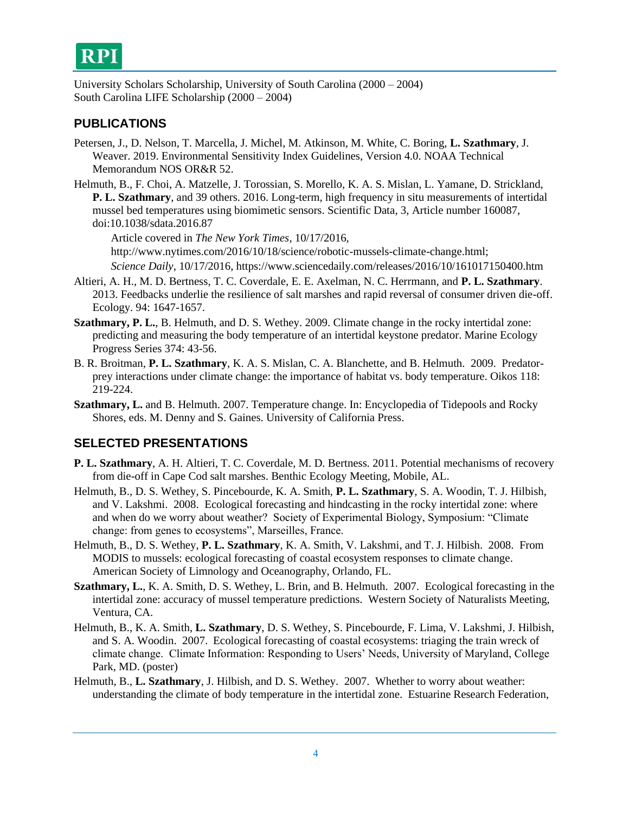

University Scholars Scholarship, University of South Carolina (2000 – 2004) South Carolina LIFE Scholarship (2000 – 2004)

#### **PUBLICATIONS**

- Petersen, J., D. Nelson, T. Marcella, J. Michel, M. Atkinson, M. White, C. Boring, **L. Szathmary**, J. Weaver. 2019. Environmental Sensitivity Index Guidelines, Version 4.0. NOAA Technical Memorandum NOS OR&R 52.
- Helmuth, B., F. Choi, A. Matzelle, J. Torossian, S. Morello, K. A. S. Mislan, L. Yamane, D. Strickland, **P. L. Szathmary**, and 39 others. 2016. Long-term, high frequency in situ measurements of intertidal mussel bed temperatures using biomimetic sensors. Scientific Data, 3, Article number 160087, doi:10.1038/sdata.2016.87

Article covered in *The New York Times*, 10/17/2016, [http://www.nytimes.com/2016/10/18/science/robotic-mussels-climate-change.html;](http://www.nytimes.com/2016/10/18/science/robotic-mussels-climate-change.html) *Science Daily*, 10/17/2016,<https://www.sciencedaily.com/releases/2016/10/161017150400.htm>

- Altieri, A. H., M. D. Bertness, T. C. Coverdale, E. E. Axelman, N. C. Herrmann, and **P. L. Szathmary**. 2013. Feedbacks underlie the resilience of salt marshes and rapid reversal of consumer driven die-off. Ecology. 94: 1647-1657.
- **Szathmary, P. L.**, B. Helmuth, and D. S. Wethey. 2009. Climate change in the rocky intertidal zone: predicting and measuring the body temperature of an intertidal keystone predator. Marine Ecology Progress Series 374: 43-56.
- B. R. Broitman, **P. L. Szathmary**, K. A. S. Mislan, C. A. Blanchette, and B. Helmuth. 2009. Predatorprey interactions under climate change: the importance of habitat vs. body temperature. Oikos 118: 219-224.
- **Szathmary, L.** and B. Helmuth. 2007. Temperature change. In: Encyclopedia of Tidepools and Rocky Shores, eds. M. Denny and S. Gaines. University of California Press.

#### **SELECTED PRESENTATIONS**

- **P. L. Szathmary**, A. H. Altieri, T. C. Coverdale, M. D. Bertness. 2011. Potential mechanisms of recovery from die-off in Cape Cod salt marshes. Benthic Ecology Meeting, Mobile, AL.
- Helmuth, B., D. S. Wethey, S. Pincebourde, K. A. Smith, **P. L. Szathmary**, S. A. Woodin, T. J. Hilbish, and V. Lakshmi. 2008. Ecological forecasting and hindcasting in the rocky intertidal zone: where and when do we worry about weather? Society of Experimental Biology, Symposium: "Climate change: from genes to ecosystems", Marseilles, France.
- Helmuth, B., D. S. Wethey, **P. L. Szathmary**, K. A. Smith, V. Lakshmi, and T. J. Hilbish. 2008. From MODIS to mussels: ecological forecasting of coastal ecosystem responses to climate change. American Society of Limnology and Oceanography, Orlando, FL.
- **Szathmary, L.**, K. A. Smith, D. S. Wethey, L. Brin, and B. Helmuth. 2007. Ecological forecasting in the intertidal zone: accuracy of mussel temperature predictions. Western Society of Naturalists Meeting, Ventura, CA.
- Helmuth, B., K. A. Smith, **L. Szathmary**, D. S. Wethey, S. Pincebourde, F. Lima, V. Lakshmi, J. Hilbish, and S. A. Woodin. 2007. Ecological forecasting of coastal ecosystems: triaging the train wreck of climate change. Climate Information: Responding to Users' Needs, University of Maryland, College Park, MD. (poster)
- Helmuth, B., **L. Szathmary**, J. Hilbish, and D. S. Wethey. 2007. Whether to worry about weather: understanding the climate of body temperature in the intertidal zone. Estuarine Research Federation,